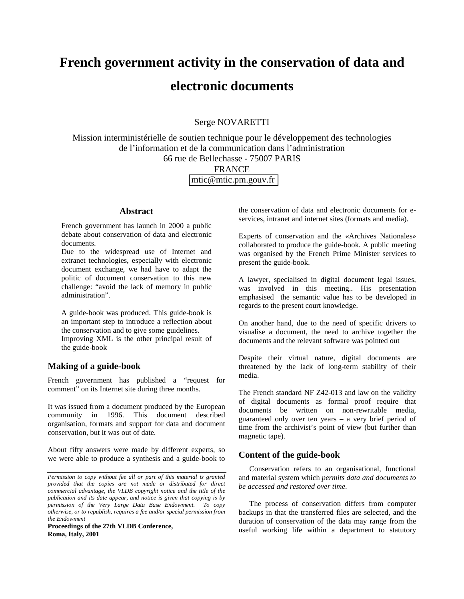# **French government activity in the conservation of data and electronic documents**

# Serge NOVARETTI

Mission interministérielle de soutien technique pour le développement des technologies de l'information et de la communication dans l'administration 66 rue de Bellechasse - 75007 PARIS

FRANCE

 [mtic@mtic.pm.gouv.fr](mailto:Email@small.medium.large)

#### **Abstract**

French government has launch in 2000 a public debate about conservation of data and electronic documents.

Due to the widespread use of Internet and extranet technologies, especially with electronic document exchange, we had have to adapt the politic of document conservation to this new challenge: "avoid the lack of memory in public administration".

A guide-book was produced. This guide-book is an important step to introduce a reflection about the conservation and to give some guidelines. Improving XML is the other principal result of the guide-book

### **Making of a guide-book**

French government has published a "request for comment" on its Internet site during three months.

It was issued from a document produced by the European community in 1996. This document described organisation, formats and support for data and document conservation, but it was out of date.

About fifty answers were made by different experts, so we were able to produce a synthesis and a guide-book to

**Proceedings of the 27th VLDB Conference, Roma, Italy, 2001**

the conservation of data and electronic documents for eservices, intranet and internet sites (formats and media).

Experts of conservation and the «Archives Nationales» collaborated to produce the guide-book. A public meeting was organised by the French Prime Minister services to present the guide-book.

A lawyer, specialised in digital document legal issues, was involved in this meeting.. His presentation emphasised the semantic value has to be developed in regards to the present court knowledge.

On another hand, due to the need of specific drivers to visualise a document, the need to archive together the documents and the relevant software was pointed out

Despite their virtual nature, digital documents are threatened by the lack of long-term stability of their media.

The French standard NF Z42-013 and law on the validity of digital documents as formal proof require that documents be written on non-rewritable media, guaranteed only over ten years – a very brief period of time from the archivist's point of view (but further than magnetic tape).

#### **Content of the guide-book**

Conservation refers to an organisational, functional and material system which *permits data and documents to be accessed and restored over time.*

The process of conservation differs from computer backups in that the transferred files are selected, and the duration of conservation of the data may range from the useful working life within a department to statutory

*Permission to copy without fee all or part of this material is granted provided that the copies are not made or distributed for direct commercial advantage, the VLDB copyright notice and the title of the publication and its date appear, and notice is given that copying is by permission of the Very Large Data Base Endowment. To copy otherwise, or to republish, requires a fee and/or special permission from the Endowment*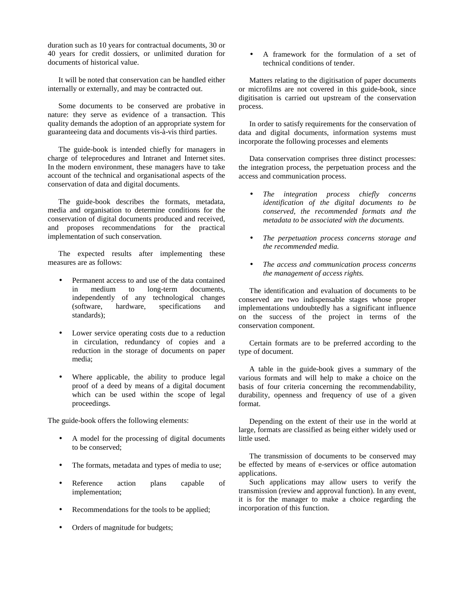duration such as 10 years for contractual documents, 30 or 40 years for credit dossiers, or unlimited duration for documents of historical value.

It will be noted that conservation can be handled either internally or externally, and may be contracted out.

Some documents to be conserved are probative in nature: they serve as evidence of a transaction. This quality demands the adoption of an appropriate system for guaranteeing data and documents vis-à-vis third parties.

The guide-book is intended chiefly for managers in charge of teleprocedures and Intranet and Internet sites. In the modern environment, these managers have to take account of the technical and organisational aspects of the conservation of data and digital documents.

The guide-book describes the formats, metadata, media and organisation to determine conditions for the conservation of digital documents produced and received, and proposes recommendations for the practical implementation of such conservation.

The expected results after implementing these measures are as follows:

- Permanent access to and use of the data contained in medium to long-term documents, independently of any technological changes (software, hardware, specifications and standards);
- Lower service operating costs due to a reduction in circulation, redundancy of copies and a reduction in the storage of documents on paper media;
- Where applicable, the ability to produce legal proof of a deed by means of a digital document which can be used within the scope of legal proceedings.

The guide-book offers the following elements:

- A model for the processing of digital documents to be conserved;
- The formats, metadata and types of media to use;
- Reference action plans capable of implementation;
- Recommendations for the tools to be applied;
- Orders of magnitude for budgets;

• A framework for the formulation of a set of technical conditions of tender.

Matters relating to the digitisation of paper documents or microfilms are not covered in this guide-book, since digitisation is carried out upstream of the conservation process.

In order to satisfy requirements for the conservation of data and digital documents, information systems must incorporate the following processes and elements

Data conservation comprises three distinct processes: the integration process, the perpetuation process and the access and communication process.

- *The integration process chiefly concerns identification of the digital documents to be conserved, the recommended formats and the metadata to be associated with the documents.*
- *The perpetuation process concerns storage and the recommended media.*
- *The access and communication process concerns the management of access rights.*

The identification and evaluation of documents to be conserved are two indispensable stages whose proper implementations undoubtedly has a significant influence on the success of the project in terms of the conservation component.

Certain formats are to be preferred according to the type of document.

A table in the guide-book gives a summary of the various formats and will help to make a choice on the basis of four criteria concerning the recommendability, durability, openness and frequency of use of a given format.

Depending on the extent of their use in the world at large, formats are classified as being either widely used or little used.

The transmission of documents to be conserved may be effected by means of e-services or office automation applications.

Such applications may allow users to verify the transmission (review and approval function). In any event, it is for the manager to make a choice regarding the incorporation of this function.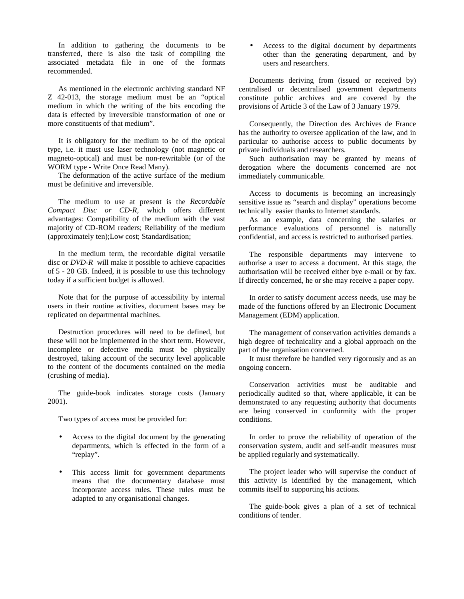In addition to gathering the documents to be transferred, there is also the task of compiling the associated metadata file in one of the formats recommended.

As mentioned in the electronic archiving standard NF Z 42-013, the storage medium must be an "optical medium in which the writing of the bits encoding the data is effected by irreversible transformation of one or more constituents of that medium".

It is obligatory for the medium to be of the optical type, i.e. it must use laser technology (not magnetic or magneto-optical) and must be non-rewritable (or of the WORM type - Write Once Read Many).

The deformation of the active surface of the medium must be definitive and irreversible.

The medium to use at present is the *Recordable Compact Disc or CD-R*, which offers different advantages: Compatibility of the medium with the vast majority of CD-ROM readers; Reliability of the medium (approximately ten);Low cost; Standardisation;

In the medium term, the recordable digital versatile disc or *DVD-R* will make it possible to achieve capacities of 5 - 20 GB. Indeed, it is possible to use this technology today if a sufficient budget is allowed.

Note that for the purpose of accessibility by internal users in their routine activities, document bases may be replicated on departmental machines.

Destruction procedures will need to be defined, but these will not be implemented in the short term. However, incomplete or defective media must be physically destroyed, taking account of the security level applicable to the content of the documents contained on the media (crushing of media).

The guide-book indicates storage costs (January 2001).

Two types of access must be provided for:

- Access to the digital document by the generating departments, which is effected in the form of a "replay".
- This access limit for government departments means that the documentary database must incorporate access rules. These rules must be adapted to any organisational changes.

• Access to the digital document by departments other than the generating department, and by users and researchers.

Documents deriving from (issued or received by) centralised or decentralised government departments constitute public archives and are covered by the provisions of Article 3 of the Law of 3 January 1979.

Consequently, the Direction des Archives de France has the authority to oversee application of the law, and in particular to authorise access to public documents by private individuals and researchers.

Such authorisation may be granted by means of derogation where the documents concerned are not immediately communicable.

Access to documents is becoming an increasingly sensitive issue as "search and display" operations become technically easier thanks to Internet standards.

As an example, data concerning the salaries or performance evaluations of personnel is naturally confidential, and access is restricted to authorised parties.

The responsible departments may intervene to authorise a user to access a document. At this stage, the authorisation will be received either bye e-mail or by fax. If directly concerned, he or she may receive a paper copy.

In order to satisfy document access needs, use may be made of the functions offered by an Electronic Document Management (EDM) application.

The management of conservation activities demands a high degree of technicality and a global approach on the part of the organisation concerned.

It must therefore be handled very rigorously and as an ongoing concern.

Conservation activities must be auditable and periodically audited so that, where applicable, it can be demonstrated to any requesting authority that documents are being conserved in conformity with the proper conditions.

In order to prove the reliability of operation of the conservation system, audit and self-audit measures must be applied regularly and systematically.

The project leader who will supervise the conduct of this activity is identified by the management, which commits itself to supporting his actions.

The guide-book gives a plan of a set of technical conditions of tender.